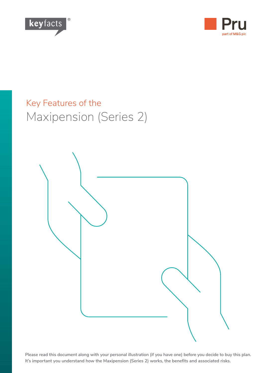



## Key Features of the Maxipension (Series 2)



**Please read this document along with your personal illustration (if you have one) before you decide to buy this plan. It's important you understand how the Maxipension (Series 2) works, the benefits and associated risks.**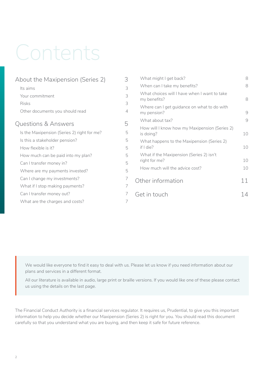# Contents

| 3              | What might I get back?                                       | 8       |
|----------------|--------------------------------------------------------------|---------|
|                | When can I take my benefits?                                 | 8       |
| 3              | What choices will I have when I want to take<br>my benefits? | 8       |
| $\overline{4}$ | Where can I get guidance on what to do with<br>my pension?   | $\circ$ |
|                | What about tax?                                              | $\circ$ |
| 5              | How will I know how my Maxipension (Series 2)<br>is doing?   | 10      |
| 5              | What happens to the Maxipension (Series 2)<br>if I die?      |         |
| 5              |                                                              | 10      |
| 5              | What if the Maxipension (Series 2) isn't<br>right for me?    | 10      |
| 5              | How much will the advice cost?                               | 10      |
|                | Other information                                            | 11      |
| 7              |                                                              |         |
|                | Get in touch                                                 | 14      |
| 7              |                                                              |         |
|                | 3<br>3<br>5<br>5                                             |         |

We would like everyone to find it easy to deal with us. Please let us know if you need information about our plans and services in a different format.

All our literature is available in audio, large print or braille versions. If you would like one of these please contact us using the details on the last page.

The Financial Conduct Authority is a financial services regulator. It requires us, Prudential, to give you this important information to help you decide whether our Maxipension (Series 2) is right for you. You should read this document carefully so that you understand what you are buying, and then keep it safe for future reference.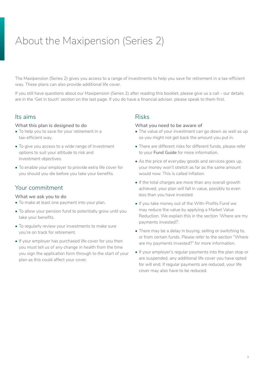## About the Maxipension (Series 2)

The Maxipension (Series 2) gives you access to a range of investments to help you save for retirement in a tax-efficient way. These plans can also provide additional life cover.

If you still have questions about our Maxipension (Series 2) after reading this booklet, please give us a call – our details are in the 'Get in touch' section on the last page. If you do have a financial adviser, please speak to them first.

### Its aims

#### **What this plan is designed to do**

- To help you to save for your retirement in a tax-efficient way.
- To give you access to a wide range of investment options to suit your attitude to risk and investment objectives.
- To enable your employer to provide extra life cover for you should you die before you take your benefits.

## Your commitment

#### **What we ask you to do**

- To make at least one payment into your plan.
- To allow your pension fund to potentially grow until you take your benefits.
- To regularly review your investments to make sure you're on track for retirement.
- If your employer has purchased life cover for you then you must tell us of any change in health from the time you sign the application form through to the start of your plan as this could affect your cover.

### Risks

#### **What you need to be aware of**

- The value of your investment can go down as well as up so you might not get back the amount you put in.
- There are different risks for different funds, please refer to your **Fund Guide** for more information.
- As the price of everyday goods and services goes up, your money won't stretch as far as the same amount would now. This is called inflation.
- If the total charges are more than any overall growth achieved, your plan will fall in value, possibly to even less than you have invested.
- If you take money out of the With-Profits Fund we may reduce the value by applying a Market Value Reduction. We explain this in the section 'Where are my payments invested?'.
- There may be a delay in buying, selling or switching to, or from certain funds. Please refer to the section "Where are my payments invested?" for more information.
- If your employer's regular payments into the plan stop or are suspended, any additional life cover you have opted for will end. If regular payments are reduced, your life cover may also have to be reduced.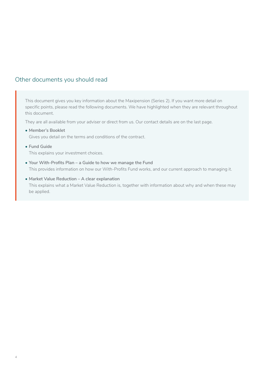## Other documents you should read

This document gives you key information about the Maxipension (Series 2). If you want more detail on specific points, please read the following documents. We have highlighted when they are relevant throughout this document.

They are all available from your adviser or direct from us. Our contact details are on the last page.

**• Member's Booklet**

Gives you detail on the terms and conditions of the contract.

**• Fund Guide**

This explains your investment choices.

- **• Your With-Profits Plan a Guide to how we manage the Fund** This provides information on how our With-Profits Fund works, and our current approach to managing it.
- **• Market Value Reduction A clear explanation** This explains what a Market Value Reduction is, together with information about why and when these may be applied.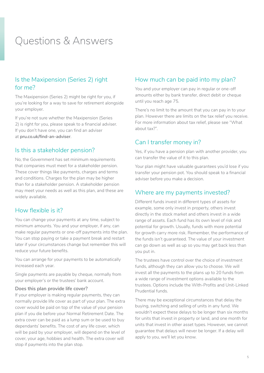## Questions & Answers

## Is the Maxipension (Series 2) right for me?

The Maxipension (Series 2) might be right for you, if you're looking for a way to save for retirement alongside your employer.

If you're not sure whether the Maxipension (Series 2) is right for you, please speak to a financial adviser. If you don't have one, you can find an adviser at **[pru.co.uk/find-an-adviser](https://www.pru.co.uk/find-an-adviser/)**.

#### Is this a stakeholder pension?

No, the Government has set minimum requirements that companies must meet for a stakeholder pension. These cover things like payments, charges and terms and conditions. Charges for the plan may be higher than for a stakeholder pension. A stakeholder pension may meet your needs as well as this plan, and these are widely available.

#### How flexible is it?

You can change your payments at any time, subject to minimum amounts. You and your employer, if any, can make regular payments or one-off payments into the plan. You can stop paying or take a payment break and restart later if your circumstances change but remember this will reduce your future benefits.

You can arrange for your payments to be automatically increased each year.

Single payments are payable by cheque, normally from your employer's or the trustees' bank account.

#### **Does this plan provide life cover?**

If your employer is making regular payments, they can normally provide life cover as part of your plan. The extra cover would be paid on top of the value of your pension plan if you die before your Normal Retirement Date. The extra cover can be paid as a lump sum or be used to buy dependants' benefits. The cost of any life cover, which will be paid by your employer, will depend on the level of cover, your age, hobbies and health. The extra cover will stop if payments into the plan stop.

### How much can be paid into my plan?

You and your employer can pay in regular or one-off amounts either by bank transfer, direct debit or cheque until you reach age 75.

There's no limit to the amount that you can pay in to your plan. However there are limits on the tax relief you receive. For more information about tax relief, please see "What about tax?".

#### Can I transfer money in?

Yes, if you have a pension plan with another provider, you can transfer the value of it to this plan.

Your plan might have valuable guarantees you'd lose if you transfer your pension pot. You should speak to a financial adviser before you make a decision.

#### Where are my payments invested?

Different funds invest in different types of assets for example, some only invest in property, others invest directly in the stock market and others invest in a wide range of assets. Each fund has its own level of risk and potential for growth. Usually, funds with more potential for growth carry more risk. Remember, the performance of the funds isn't guaranteed. The value of your investment can go down as well as up so you may get back less than you put in.

The trustees have control over the choice of investment funds, although they can allow you to choose. We will invest all the payments to the plans up to 20 funds from a wide range of investment options available to the trustees. Options include the With-Profits and Unit-Linked Prudential funds.

There may be exceptional circumstances that delay the buying, switching and selling of units in any fund. We wouldn't expect these delays to be longer than six months for units that invest in property or land, and one month for units that invest in other asset types. However, we cannot guarantee that delays will never be longer. If a delay will apply to you, we'll let you know.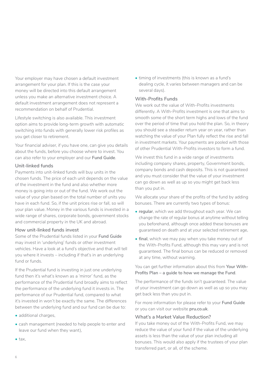Your employer may have chosen a default investment arrangement for your plan. If this is the case your money will be directed into this default arrangement unless you make an alternative investment choice. A default investment arrangement does not represent a recommendation on behalf of Prudential.

Lifestyle switching is also available. This investment option aims to provide long-term growth with automatic switching into funds with generally lower risk profiles as you get closer to retirement.

Your financial adviser, if you have one, can give you details about the funds, before you choose where to invest. You can also refer to your employer and our **Fund Guide**.

#### **Unit-linked funds**

Payments into unit-linked funds will buy units in the chosen funds. The price of each unit depends on the value of the investment in the fund and also whether more money is going into or out of the fund. We work out the value of your plan based on the total number of units you have in each fund. So, if the unit prices rise or fall, so will your plan value. Money in the various funds is invested in a wide range of shares, corporate bonds, government stocks and commercial property in the UK and abroad.

#### **How unit-linked funds invest**

Some of the Prudential funds listed in your **Fund Guide**  may invest in 'underlying' funds or other investment vehicles. Have a look at a fund's objective and that will tell you where it invests – including if that's in an underlying fund or funds.

If the Prudential fund is investing in just one underlying fund then it's what's known as a 'mirror' fund, as the performance of the Prudential fund broadly aims to reflect the performance of the underlying fund it invests in. The performance of our Prudential fund, compared to what it's invested in won't be exactly the same. The differences between the underlying fund and our fund can be due to:

- additional charges,
- cash management (needed to help people to enter and leave our fund when they want),
- tax,

• timing of investments (this is known as a fund's dealing cycle, it varies between managers and can be several days).

#### **With-Profits Funds**

We work out the value of With-Profits investments differently. A With-Profits investment is one that aims to smooth some of the short term highs and lows of the fund over the period of time that you hold the plan. So, in theory you should see a steadier return year on year, rather than watching the value of your Plan fully reflect the rise and fall in investment markets. Your payments are pooled with those of other Prudential With-Profits investors to form a fund.

We invest this fund in a wide range of investments including company shares, property, Government bonds, company bonds and cash deposits. This is not guaranteed and you must consider that the value of your investment can go down as well as up so you might get back less than you put in.

We allocate your share of the profits of the fund by adding bonuses. There are currently two types of bonus:

- **regular**, which we add throughout each year. We can change the rate of regular bonus at anytime without telling you beforehand, although once added these bonuses are guaranteed on death and at your selected retirement age,
- **final**, which we may pay when you take money out of the With-Profits Fund, although this may vary and is not guaranteed. The final bonus can be reduced or removed at any time, without warning.

You can get further information about this from **Your With-Profits Plan – a guide to how we manage the Fund**.

The performance of the funds isn't guaranteed. The value of your investment can go down as well as up so you may get back less than you put in.

For more information for please refer to your **Fund Guide** or you can visit our website **[pru.co.uk](http://www.pru.co.uk)**.

#### **What's a Market Value Reduction?**

If you take money out of the With-Profits Fund, we may reduce the value of your fund if the value of the underlying assets is less than the value of your plan including all bonuses. This would also apply if the trustees of your plan transferred part, or all, of the scheme.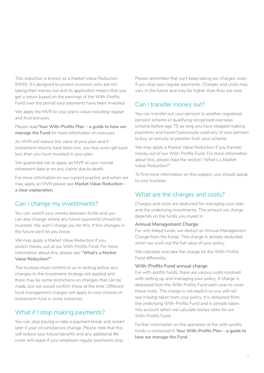This reduction is known as a Market Value Reduction (MVR). It's designed to protect investors who are not taking their money out and its application means that you get a return based on the earnings of the With-Profits Fund over the period your payments have been invested.

We apply the MVR to your plan's value including regular and final bonuses.

Please read **Your With-Profits Plan – a guide to how we manage the Fund** for more information on bonuses.

An MVR will reduce the value of your plan and if investment returns have been low, you may even get back less than you have invested in your plan.

We guarantee not to apply an MVR at your normal retirement date or on any claims due to death.

For more information on our current practice and when we may apply an MVR please see **Market Value Reduction – a clear explanation**.

## Can I change my investments?

You can switch your money between funds and you can also change where any future payments should be invested. We won't charge you for this. If this changes in the future we'll let you know.

We may apply a Market Value Reduction if you switch money out of our With-Profits Fund. For more information about this, please see **"What's a Market Value Reduction?"**.

The trustees must confirm to us in writing before any changes to the investment strategy are applied and there may be some restrictions on changes that can be made, but we would confirm these at the time. Different fund management charges will apply to new choices of investment fund in some instances.

## What if I stop making payments?

You can stop paying or take a payment break and restart later if your circumstances change. Please note that this will reduce your future benefits and any additional life cover will cease if your employer regular payments stop.

Please remember that we'll keep taking our charges, even if you stop your regular payments. Charges and costs may vary in the future and may be higher than they are now.

## Can I transfer money out?

You can transfer out your pension to another registered pension scheme or qualifying recognised overseas scheme before age 75 as long you have stopped making payments and haven't previously used any of your pension to buy an annuity or pension from your scheme.

We may apply a Market Value Reduction if you transfer money out of our With-Profits Fund. For more information about this, please read the section "What's a Market Value Reduction?".

To find more information on this subject, you should speak to your trustees.

## What are the charges and costs?

Charges and costs are deducted for managing your plan and the underlying investments. The amount we charge depends on the funds you invest in.

#### **Annual Management Charge**

For unit-linked funds, we deduct an Annual Management Charge from the funds. This charge is already deducted when we work out the full value of your policy.

We calculate and take the charge for the With-Profits Fund differently.

#### **With-Profits Fund annual charge**

For with-profits funds, there are various costs involved with setting up and managing your policy. A charge is deducted from the With-Profits Fund each year to cover these costs. The charge is not explicit so you will not see it being taken from your policy. It is deducted from the underlying With-Profits Fund and is already taken into account when we calculate bonus rates for our With-Profits Fund.

Further information on the operation of the with-profits funds is contained in **Your With-Profits Plan – a guide to how we manage the Fund**.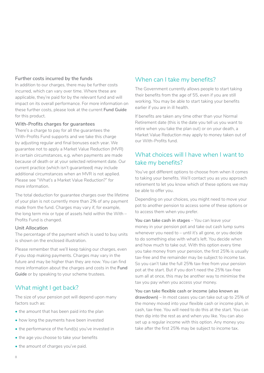#### **Further costs incurred by the funds**

In addition to our charges, there may be further costs incurred, which can vary over time. Where these are applicable, they're paid for by the relevant fund and will impact on its overall performance. For more information on these further costs, please look at the current **Fund Guide** for this product.

#### **With-Profits charges for guarantees**

There's a charge to pay for all the guarantees the With-Profits Fund supports and we take this charge by adjusting regular and final bonuses each year. We guarantee not to apply a Market Value Reduction (MVR) in certain circumstances, e.g. when payments are made because of death or at your selected retirement date. Our current practice (which isn't guaranteed) may include additional circumstances when an MVR is not applied. Please see "What's a Market Value Reduction?" for more information.

The total deduction for guarantee charges over the lifetime of your plan is not currently more than 2% of any payment made from the fund. Charges may vary if, for example, the long term mix or type of assets held within the With – Profits Fund is changed.

#### **Unit Allocation**

The percentage of the payment which is used to buy units is shown on the enclosed illustration.

Please remember that we'll keep taking our charges, even if you stop making payments. Charges may vary in the future and may be higher than they are now. You can find more information about the charges and costs in the **Fund Guide** or by speaking to your scheme trustees.

## What might I get back?

The size of your pension pot will depend upon many factors such as:

- the amount that has been paid into the plan
- how long the payments have been invested
- the performance of the fund(s) you've invested in
- the age you choose to take your benefits
- the amount of charges you've paid.

## When can I take my benefits?

The Government currently allows people to start taking their benefits from the age of 55, even if you are still working. You may be able to start taking your benefits earlier if you are in ill health.

If benefits are taken any time other than your Normal Retirement date (this is the date you tell us you want to retire when you take the plan out) or on your death, a Market Value Reduction may apply to money taken out of our With-Profits fund.

## What choices will I have when I want to take my benefits?

You've got different options to choose from when it comes to taking your benefits. We'll contact you as you approach retirement to let you know which of these options we may be able to offer you.

Depending on your choices, you might need to move your pot to another pension to access some of these options or to access them when you prefer.

**You can take cash in stages** – You can leave your money in your pension pot and take out cash lump sums whenever you need to – until it's all gone, or you decide to do something else with what's left. You decide when and how much to take out. With this option every time you take money from your pension, the first 25% is usually tax-free and the remainder may be subject to income tax. So you can't take the full 25% tax-free from your pension pot at the start. But if you don't need the 25% tax-free sum all at once, this may be another way to minimise the tax you pay when you access your money.

**You can take flexible cash or income (also known as drawdown)** – In most cases you can take out up to 25% of the money moved into your flexible cash or income plan, in cash, tax-free. You will need to do this at the start. You can then dip into the rest as and when you like. You can also set up a regular income with this option. Any money you take after the first 25% may be subject to income tax.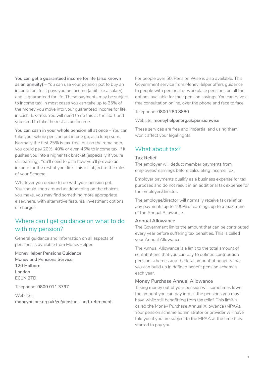**You can get a guaranteed income for life (also known as an annuity)** – You can use your pension pot to buy an income for life. It pays you an income (a bit like a salary) and is guaranteed for life. These payments may be subject to income tax. In most cases you can take up to 25% of the money you move into your guaranteed income for life, in cash, tax-free. You will need to do this at the start and you need to take the rest as an income.

**You can cash in your whole pension all at once** – You can take your whole pension pot in one go, as a lump sum. Normally the first 25% is tax-free, but on the remainder, you could pay 20%, 40% or even 45% to income tax, if it pushes you into a higher tax bracket (especially if you're still earning). You'll need to plan how you'll provide an income for the rest of your life. This is subject to the rules of your Scheme.

Whatever you decide to do with your pension pot. You should shop around as depending on the choices you make, you may find something more appropriate elsewhere, with alternative features, investment options or charges.

## Where can I get guidance on what to do with my pension?

General guidance and information on all aspects of pensions is available from MoneyHelper.

**MoneyHelper Pensions Guidance Money and Pensions Service 120 Holborn London EC1N 2TD**

Telephone: **0800 011 3797**

Website: **[moneyhelper.org.uk/en/pensions-and-retirement](https://www.moneyhelper.org.uk/en/pensions-and-retirement)**

For people over 50, Pension Wise is also available. This Government service from MoneyHelper offers guidance to people with personal or workplace pensions on all the options available for their pension savings. You can have a free consultation online, over the phone and face to face.

#### Telephone: **0800 280 8880**

#### Website: **[moneyhelper.org.uk/pensionwise](https://www.moneyhelper.org.uk/pensionwise)**

These services are free and impartial and using them won't affect your legal rights.

### What about tax?

#### **Tax Relief**

The employer will deduct member payments from employees' earnings before calculating Income Tax.

Employer payments qualify as a business expense for tax purposes and do not result in an additional tax expense for the employee/director.

The employee/director will normally receive tax relief on any payments up to 100% of earnings up to a maximum of the Annual Allowance.

#### **Annual Allowance**

The Government limits the amount that can be contributed every year before suffering tax penalties. This is called your Annual Allowance.

The Annual Allowance is a limit to the total amount of contributions that you can pay to defined contribution pension schemes and the total amount of benefits that you can build up in defined benefit pension schemes each year.

#### **Money Purchase Annual Allowance**

Taking money out of your pension will sometimes lower the amount you can pay into all the pensions you may have while still benefitting from tax relief. This limit is called the Money Purchase Annual Allowance (MPAA). Your pension scheme administrator or provider will have told you if you are subject to the MPAA at the time they started to pay you.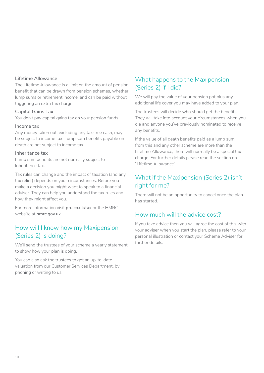#### **Lifetime Allowance**

The Lifetime Allowance is a limit on the amount of pension benefit that can be drawn from pension schemes, whether lump sums or retirement income, and can be paid without triggering an extra tax charge.

#### **Capital Gains Tax**

You don't pay capital gains tax on your pension funds.

#### **Income tax**

Any money taken out, excluding any tax-free cash, may be subject to income tax. Lump sum benefits payable on death are not subject to income tax.

#### **Inheritance tax**

Lump sum benefits are not normally subject to Inheritance tax.

Tax rules can change and the impact of taxation (and any tax relief) depends on your circumstances. Before you make a decision you might want to speak to a financial adviser. They can help you understand the tax rules and how they might affect you.

For more information visit **[pru.co.uk/tax](http://www.pru.co.uk/tax)** or the HMRC website at **[hmrc.gov.uk](http://www.hmrc.gov.uk)**.

## How will I know how my Maxipension (Series 2) is doing?

We'll send the trustees of your scheme a yearly statement to show how your plan is doing.

You can also ask the trustees to get an up-to-date valuation from our Customer Services Department, by phoning or writing to us.

## What happens to the Maxipension (Series 2) if I die?

We will pay the value of your pension pot plus any additional life cover you may have added to your plan.

The trustees will decide who should get the benefits. They will take into account your circumstances when you die and anyone you've previously nominated to receive any benefits.

If the value of all death benefits paid as a lump sum from this and any other scheme are more than the Lifetime Allowance, there will normally be a special tax charge. For further details please read the section on "Lifetime Allowance".

## What if the Maxipension (Series 2) isn't right for me?

There will not be an opportunity to cancel once the plan has started.

## How much will the advice cost?

If you take advice then you will agree the cost of this with your adviser when you start the plan, please refer to your personal illustration or contact your Scheme Adviser for further details.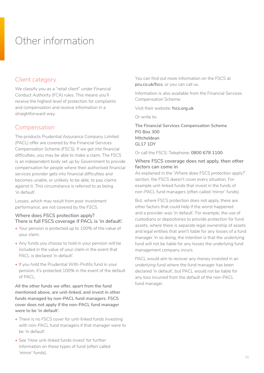## Other information

## Client category

We classify you as a "retail client" under Financial Conduct Authority (FCA) rules. This means you'll receive the highest level of protection for complaints and compensation and receive information in a straightforward way.

## Compensation

The products Prudential Assurance Company Limited (PACL) offer are covered by the Financial Services Compensation Scheme (FSCS). If we get into financial difficulties, you may be able to make a claim. The FSCS is an independent body set up by Government to provide compensation for people where their authorised financial services provider gets into financial difficulties and becomes unable, or unlikely to be able, to pay claims against it. This circumstance is referred to as being 'in default'.

Losses, which may result from poor investment performance, are not covered by the FSCS.

#### **Where does FSCS protection apply? There is full FSCS coverage if PACL is 'in default'.**

- Your pension is protected up to 100% of the value of your claim.
- Any funds you choose to hold in your pension will be included in the value of your claim in the event that PACL is declared 'in default'.
- If you hold the Prudential With-Profits fund in your pension, it's protected 100% in the event of the default of PACL.

**All the other funds we offer, apart from the fund mentioned above, are unit-linked, and invest in other funds managed by non-PACL fund managers. FSCS cover does not apply if the non-PACL fund manager were to be 'in default'.** 

- There is no FSCS cover for unit-linked funds investing with non-PACL fund managers if that manager were to be 'in default'.
- See 'How unit-linked funds invest' for further information on these types of fund (often called 'mirror' funds).

You can find out more information on the FSCS at **[pru.co.uk/fscs](http://www.fscs.org.uk)**, or you can call us.

Information is also available from the Financial Services Compensation Scheme.

Visit their website: **[fscs.org.uk](http://www.fscs.org.uk)**

Or write to:

**The Financial Services Compensation Scheme PO Box 300 Mitcheldean GL17 1DY** 

Or call the FSCS: Telephone: **0800 678 1100**

#### **Where FSCS coverage does not apply, then other factors can come in**

As explained in the 'Where does FSCS protection apply?' section, the FSCS doesn't cover every situation. For example unit-linked funds that invest in the funds of non-PACL fund managers (often called 'mirror' funds).

But, where FSCS protection does not apply, there are other factors that could help if the worst happened and a provider was 'in default'. For example, the use of custodians or depositories to provide protection for fund assets, where there is separate legal ownership of assets and legal entities that aren't liable for any losses of a fund manager. In so doing, the intention is that the underlying fund will not be liable for any losses the underlying fund management company incurs.

PACL would aim to recover any money invested in an underlying fund where the fund manager has been declared 'in default', but PACL would not be liable for any loss incurred from the default of the non-PACL fund manager.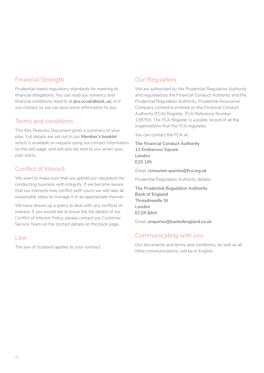## Financial Strength

Prudential meets regulatory standards for meeting its financial obligations. You can read our solvency and financial conditions reports at **[pru.co.uk/about\\_us](http://www.pru.co.uk/about_us)**, or if you contact us we can post some information to you.

## Terms and conditions

This Key Features Document gives a summary of your plan. Full details are set out in our **Member's booklet** which is available on request using our contact information on the last page, and will also be sent to you when your plan starts.

## Conflict of Interest

We want to make sure that we uphold our reputation for conducting business with integrity. If we become aware that our interests may conflict with yours we will take all reasonable steps to manage it in an appropriate manner.

We have drawn up a policy to deal with any conflicts of interest. If you would like to know the full details of our Conflict of Interest Policy, please contact our Customer Service Team on the contact details on the back page.

## Law

The law of Scotland applies to your contract.

## Our Regulators

We are authorised by the Prudential Regulation Authority and regulated by the Financial Conduct Authority and the Prudential Regulation Authority. Prudential Assurance Company Limited is entered on the Financial Conduct Authority (FCA) Register, FCA Reference Number 139793. The FCA Register is a public record of all the organisations that the FCA regulates.

You can contact the FCA at:

**The Financial Conduct Authority 12 Endeavour Square London E20 1JN**

Email: **[consumer.queries@fca.org.uk](mailto:consumer.queries%40fca.org.uk%20?subject=)**

Prudential Regulation Authority details:

**The Prudential Regulation Authority Bank of England Threadneedle St London EC2R 8AH**

Email: **[enquiries@bankofengland.co.uk](mailto:enquiries%40bankofengland.co.uk?subject=)**

## Communicating with you

Our documents and terms and conditions, as well as all other communications, will be in English.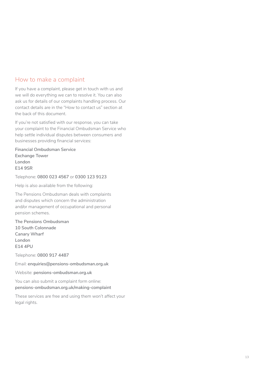### How to make a complaint

If you have a complaint, please get in touch with us and we will do everything we can to resolve it. You can also ask us for details of our complaints handling process. Our contact details are in the "How to contact us" section at the back of this document.

If you're not satisfied with our response, you can take your complaint to the Financial Ombudsman Service who help settle individual disputes between consumers and businesses providing financial services:

**Financial Ombudsman Service Exchange Tower London E14 9SR**

Telephone: **0800 023 4567** or **0300 123 9123**

Help is also available from the following:

The Pensions Ombudsman deals with complaints and disputes which concern the administration and/or management of occupational and personal pension schemes.

**The Pensions Ombudsman 10 South Colonnade Canary Wharf London E14 4PU**

Telephone: **0800 917 4487**

Email: **[enquiries@pensions-ombudsman.org.uk](mailto:enquiries%40pensions-ombudsman.org.uk?subject=)**

Website: **[pensions-ombudsman.org.uk](http://www.pensions-ombudsman.org.uk)**

You can also submit a complaint form online: **[pensions-ombudsman.org.uk/making-complaint](http://www.pensions-ombudsman.org.uk/making-complaint)**

These services are free and using them won't affect your legal rights.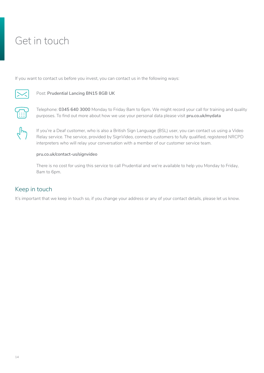## Get in touch

If you want to contact us before you invest, you can contact us in the following ways:



## **Nost: Prudential Lancing BN15 8GB UK**



Telephone: **0345 640 3000** Monday to Friday 8am to 6pm. We might record your call for training and quality purposes. To find out more about how we use your personal data please visit **[pru.co.uk/mydata](https://www.pru.co.uk/mydata)**

If you're a Deaf customer, who is also a British Sign Language (BSL) user, you can contact us using a Video Relay service. The service, provided by SignVideo, connects customers to fully qualified, registered NRCPD interpreters who will relay your conversation with a member of our customer service team.

#### **[pru.co.uk/contact-us/signvideo](https://www.pru.co.uk/contact-us/signvideo)**

There is no cost for using this service to call Prudential and we're available to help you Monday to Friday, 8am to 6pm.

## Keep in touch

It's important that we keep in touch so, if you change your address or any of your contact details, please let us know.